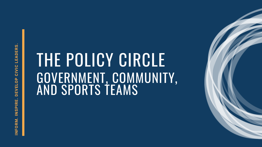### THE POLICY CIRCLE GOVERNMENT, COMMUNITY, AND SPORTS TEAMS



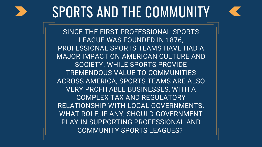

# SPORTS AND THE COMMUNITY

SINCE THE FIRST PROFESSIONAL SPORTS LEAGUE WAS FOUNDED IN 1876, PROFESSIONAL SPORTS TEAMS HAVE HAD A MAJOR IMPACT ON AMERICAN CULTURE AND SOCIETY. WHILE SPORTS PROVIDE TREMENDOUS VALUE TO COMMUNITIES ACROSS AMERICA, SPORTS TEAMS ARE ALSO VERY PROFITABLE BUSINESSES, WITH A COMPLEX TAX AND REGULATORY RELATIONSHIP WITH LOCAL GOVERNMENTS. WHAT ROLE, IF ANY, SHOULD GOVERNMENT PLAY IN SUPPORTING PROFESSIONAL AND COMMUNITY SPORTS LEAGUES?

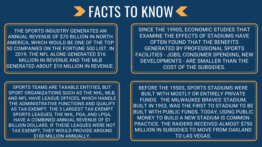### FACTS TO KNOW

THE SPORTS INDUSTRY GENERATES AN ANNUAL REVENUE OF \$70 BILLION IN NORTH AMERICA, WHICH WOULD BE ONE OF THE TOP 50 COMPANIES ON THE FORTUNE 500 LIST. IN 2019, THE NFL ALONE GENERATED \$16 MILLION IN REVENUE AND THE MLB GENERATED ABOUT \$10 MILLION IN REVENUE.

> BEFORE THE 1950S, SPORTS STADIUMS WERE BUILT WITH MOSTLY OR ENTIRELY PRIVATE FUNDS. THE MILWAUKEE BRAVES' STADIUM, BUILT IN 1953, WAS THE FIRST TO STADIUM TO BE BUILT WITH PUBLIC FUNDS. TODAY, USING PUBLIC MONEY TO BUILD A NEW STADIUM IS COMMON PRACTICE. THE RAIDERS RECEIVED ALMOST \$750 MILLION IN SUBSIDIES TO MOVE FROM OAKLAND TO LAS VEGAS.



SPORTS TEAMS ARE TAXABLE ENTITIES, BUT SPORT ORGANIZATIONS SUCH AS THE NHL, MLB, AND NFL HAVE LEAGUE OFFICES, WHICH HANDLE THE ADMINISTRATIVE FUNCTIONS AND QUALIFY AS TAX-EXEMPT. THE 3 LARGEST TAX-EXEMPT SPORTS LEAGUES, THE NHL, PGA, AND LPGA, HAVE A COMBINED ANNUAL REVENUE OF \$1 BILLION DOLLARS. IF THESE LEAGUES WERE NOT TAX EXEMPT, THEY WOULD PROVIDE AROUND \$100 MILLION ANNUALLY.

SINCE THE 1990S, ECONOMIC STUDIES THAT EXAMINE THE EFFECTS OF STADIUMS HAVE OFTEN FOUND THAT THE BENEFITS GENERATED BY PROFESSIONAL SPORTS FACILITIES - JOBS, CONSUMER SPENDING, NEW DEVELOPMENTS - ARE SMALLER THAN THE COST OF THE SUBSIDIES.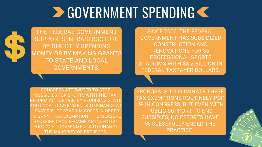CONGRESS ATTEMPTED TO STOP SUBSIDIES FOR SPORTS WITH THE TAX REFORM ACT OF 1986 BY REQUIRING STATE AND LOCAL GOVERNMENTS TO FINANCE AT LEAST 90% OF STADIUM COSTS IN ORDER TO GRANT TAX EXEMPTION. THE MEASURE BACKFIRED AND BECAME AN INCENTIVE FOR LOCAL GOVERNMENTS TO FINANCE THE MAJORITY OF PROJECTS.

SINCE 2000, THE FEDERAL GOVERNMENT HAS SUBSIDIZED CONSTRUCTION AND RENOVATIONS FOR 35 PROFESSIONAL SPORTS STADIUMS WITH \$3.2 BILLION IN FEDERAL TAXPAYER DOLLARS.

# **DE GOVERNMENT SPENDING <<**



THE FEDERAL GOVERNMENT SUPPORTS INFRASTRUCTURE BY DIRECTLY SPENDING MONEY OR BY MAKING GRANTS TO STATE AND LOCAL GOVERNMENTS.

> PROPOSALS TO ELIMINATE THESE TAX EXEMPTIONS ROUTINELY POP UP IN CONGRESS, BUT EVEN WITH PUBLIC SUPPORT TO END SUBSIDIES, NO EFFORTS HAVE SUCCESSFULLY ENDED THE PRACTICE.

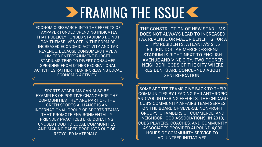SPORTS STADIUMS CAN ALSO BE EXAMPLES OF POSITIVE CHANGE FOR THE COMMUNITIES THEY ARE PART OF. THE GREEN SPORTS ALLIANCE IS AN INTERNATIONAL GROUP OF SPORTS TEAMS THAT PROMOTE ENVIRONMENTALLY FRIENDLY PRACTICES LIKE DONATING UNUSED FOOD TO LOCAL COMMUNITIES AND MAKING PAPER PRODUCTS OUT OF RECYCLED MATERIALS.

THE CONSTRUCTION OF NEW STADIUMS DOES NOT ALWAYS LEAD TO INCREASED TAX REVENUE OR MAJOR BENEFITS FOR A CITY'S RESIDENTS. ATLANTA'S \$1.5 BILLION DOLLAR MERCEDES-BENZ STADIUM IS RIGHT NEXT TO ENGLISH AVENUE AND VINE CITY, TWO POORER NEIGHBORHOODS OF THE CITY WHERE RESIDENTS ARE CONCERNED ABOUT GENTRIFICATION.

SOME SPORTS TEAMS GIVE BACK TO THEIR COMMUNITIES BY LEADING PHILANTHROPIC AND VOLUNTEERING EFFORTS. THE CHICAGO CUB'S COMMUNITY AFFAIRS TEAM SERVES ON THE BOARD OF SEVERAL NONPROFIT GROUPS, CHAMBERS OF COMMERCE, AND NEIGHBORHOOD ASSOCIATIONS. IN 2018, CUBS PLAYERS, COACHES, AND COMMUNITY ASSOCIATES PROVIDED ALROUND 4,000 HOURS OF COMMUNITY SERVICE TO VOLUNTEER INITIATIVES.



# **ERAMING THE ISSUE K**

ECONOMIC RESEARCH INTO THE EFFECTS OF TAXPAYER FUNDED SPENDING INDICATES THAT PUBLICLY FUNDED STADIUMS DO NOT PAY THEMSELVES OFF IN THE FORM OF INCREASED ECONOMIC ACTIVITY AND TAX REVENUE. BECAUSE CONSUMERS HAVE A LIMITED ENTERTAINMENT BUDGET, STADIUMS TEND TO DIVERT CONSUMER SPENDING FROM OTHER RECREATIONAL ACTIVITIES RATHER THAN INCREASING LOCAL ECONOMIC ACTIVITY.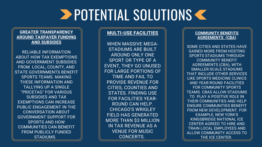# **EXPOTENTIAL SOLUTIONS <<**

### **GREATER TRANSPARENCY AROUND TAXPAYER FUNDING AND SUBSIDES**

RELIABLE INFORMATION ABOUT HOW TAX EXEMPTIONS AND GOVERNMENT SUBSIDIES FROM LOCAL, COUNTY, AND STATE GOVERNMENTS BENEFIT SPORTS TEAMS. MAKING THESE INFORMATION AND TALLYING UP A SINGLE "PRICETAG" FOR VARIOUS SUBSIDIES AND TAX EXEMPTIONS CAN INCREASE PUBLIC ENGAGEMENT IN THE CONVERSATION ABOUT GOVERNMENT SUPPORT FOR SPORTS AND HOW COMMUNITIES CAN BENEFIT FROM PUBLICLY FUNDED STADIUMS.

### **MULTI-USE FACILITIES**

WHEN MASSIVE MEGA-STADIUMS ARE BUILT AROUND ONLY ONE SPORT OR TYPE OF A EVENT, THEY GO UNUSED FOR LARGE PORTIONS OF TIME AND FAIL TO PROVIDE REVENUE FOR CITIES, COUNTIES AND STATES. FINDING USE FOR FACILITIES YEAR-ROUND CAN HELP. CHICAGO'S WRIGLEY FIELD HAS GENERATED MORE THAN \$3 MILLION IN TAX REVENUE AS A VENUE FOR MUSIC CONCERTS.

### **COMMUNITY BENEFITS AGREEMENTS (CBA)**

SOME CITIES AND STATES HAVE GAINED MORE FROM HOSTING SPORTS STADIUMS THROUGH COMMUNITY BENEFIT AGREEMENTS (CBA), WITH SMALLER-SCALE STADIUMS THAT INCLUDE OTHER SERVICES LIKE SPORTS MEDICINE CLINICS AND YEAR-ROUND FACILITIES FOR COMMUNITY SPORTS TEAMS. CBAS ALLOW STADIUMS TO PLAY A POSITIVE ROLE IN THEIR COMMUNITIES AND HELP ENSURE COMMUNITIES BENEFIT FROM NEW DEVELOPMENT. FOR EXAMPLE, NEW YORK'S KINGSBRIDGE NATIONAL ICE CENTER AGREED TO HIRE AND TRAIN LOCAL EMPLOYEES AND ALLOW COMMUNITY ACCESS TO THE ICE CENTER.